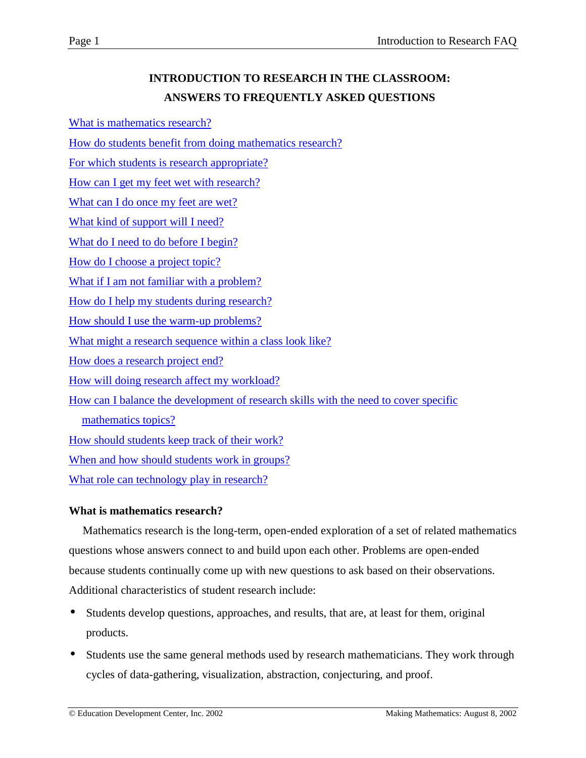What is mathematics research?

[How do students benefit from doing mathematics research?](#page-1-0)

[For which students is research appropriate?](#page-2-0)

[How can I get my feet wet with research?](#page-2-0)

[What can I do once my feet are wet?](#page-3-0)

[What kind of support will I need?](#page-4-0)

[What do I need to do before I begin?](#page-5-0)

[How do I choose a project topic?](#page-5-0)

[What if I am not familiar with a problem?](#page-7-0)

[How do I help my students during research?](#page-7-0)

[How should I use the warm-up problems?](#page-9-0)

[What might a research sequence within a class look like?](#page-9-0)

[How does a research project end?](#page-11-0)

[How will doing research affect my workload?](#page-11-0)

[How can I balance the development of research skills with the need to cover specific](#page-12-0)

[mathematics topics?](#page-12-0)

[How should students keep track of their work?](#page-15-0)

[When and how should students work in groups?](#page-16-0)

[What role can technology play in research?](#page-17-0)

### **What is mathematics research?**

Mathematics research is the long-term, open-ended exploration of a set of related mathematics questions whose answers connect to and build upon each other. Problems are open-ended because students continually come up with new questions to ask based on their observations. Additional characteristics of student research include:

- Students develop questions, approaches, and results, that are, at least for them, original products.
- Students use the same general methods used by research mathematicians. They work through cycles of data-gathering, visualization, abstraction, conjecturing, and proof.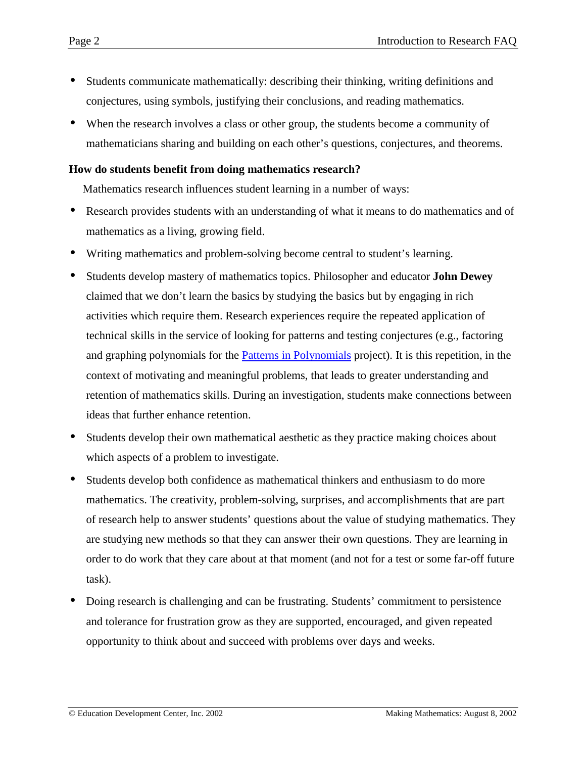- <span id="page-1-0"></span>• Students communicate mathematically: describing their thinking, writing definitions and conjectures, using symbols, justifying their conclusions, and reading mathematics.
- When the research involves a class or other group, the students become a community of mathematicians sharing and building on each other's questions, conjectures, and theorems.

## **How do students benefit from doing mathematics research?**

Mathematics research influences student learning in a number of ways:

- Research provides students with an understanding of what it means to do mathematics and of mathematics as a living, growing field.
- Writing mathematics and problem-solving become central to student's learning.
- Students develop mastery of mathematics topics. Philosopher and educator **John Dewey** claimed that we don't learn the basics by studying the basics but by engaging in rich activities which require them. Research experiences require the repeated application of technical skills in the service of looking for patterns and testing conjectures (e.g., factoring and graphing polynomials for the [Patterns in Polynomials](http://www2.edc.org/makingmath/mathprojects/patternsPoly/patternsPoly.asp) project). It is this repetition, in the context of motivating and meaningful problems, that leads to greater understanding and retention of mathematics skills. During an investigation, students make connections between ideas that further enhance retention.
- Students develop their own mathematical aesthetic as they practice making choices about which aspects of a problem to investigate.
- Students develop both confidence as mathematical thinkers and enthusiasm to do more mathematics. The creativity, problem-solving, surprises, and accomplishments that are part of research help to answer students' questions about the value of studying mathematics. They are studying new methods so that they can answer their own questions. They are learning in order to do work that they care about at that moment (and not for a test or some far-off future task).
- Doing research is challenging and can be frustrating. Students' commitment to persistence and tolerance for frustration grow as they are supported, encouraged, and given repeated opportunity to think about and succeed with problems over days and weeks.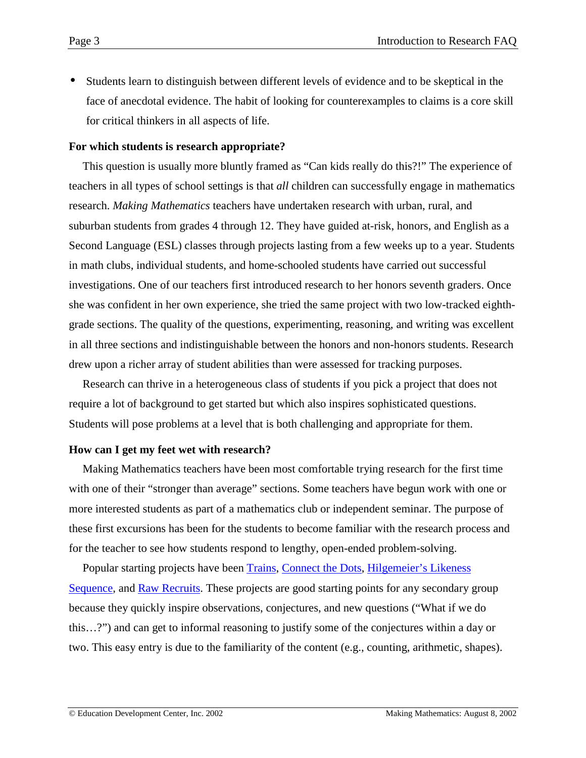<span id="page-2-0"></span>• Students learn to distinguish between different levels of evidence and to be skeptical in the face of anecdotal evidence. The habit of looking for counterexamples to claims is a core skill for critical thinkers in all aspects of life.

### **For which students is research appropriate?**

This question is usually more bluntly framed as "Can kids really do this?!" The experience of teachers in all types of school settings is that *all* children can successfully engage in mathematics research. *Making Mathematics* teachers have undertaken research with urban, rural, and suburban students from grades 4 through 12. They have guided at-risk, honors, and English as a Second Language (ESL) classes through projects lasting from a few weeks up to a year. Students in math clubs, individual students, and home-schooled students have carried out successful investigations. One of our teachers first introduced research to her honors seventh graders. Once she was confident in her own experience, she tried the same project with two low-tracked eighthgrade sections. The quality of the questions, experimenting, reasoning, and writing was excellent in all three sections and indistinguishable between the honors and non-honors students. Research drew upon a richer array of student abilities than were assessed for tracking purposes.

Research can thrive in a heterogeneous class of students if you pick a project that does not require a lot of background to get started but which also inspires sophisticated questions. Students will pose problems at a level that is both challenging and appropriate for them.

### **How can I get my feet wet with research?**

Making Mathematics teachers have been most comfortable trying research for the first time with one of their "stronger than average" sections. Some teachers have begun work with one or more interested students as part of a mathematics club or independent seminar. The purpose of these first excursions has been for the students to become familiar with the research process and for the teacher to see how students respond to lengthy, open-ended problem-solving.

Popular starting projects have been [Trains,](http://www2.edc.org/makingmath/mathprojects/trains/trains.asp) [Connect the Dots,](http://www2.edc.org/makingmath/mathsettings/connect/connect.asp) [Hilgemeier's Likeness](http://www2.edc.org/makingmath/handbook/Teacher/IntroductoryExplorations/IntroductoryExplorations.asp#HilgemeiersLikenessSequence) [Sequence,](http://www2.edc.org/makingmath/handbook/Teacher/IntroductoryExplorations/IntroductoryExplorations.asp#HilgemeiersLikenessSequence) and [Raw Recruits.](http://www2.edc.org/makingmath/mathprojects/recruits/Links/recruits_lnk_1.asp) These projects are good starting points for any secondary group because they quickly inspire observations, conjectures, and new questions ("What if we do this…?") and can get to informal reasoning to justify some of the conjectures within a day or two. This easy entry is due to the familiarity of the content (e.g., counting, arithmetic, shapes).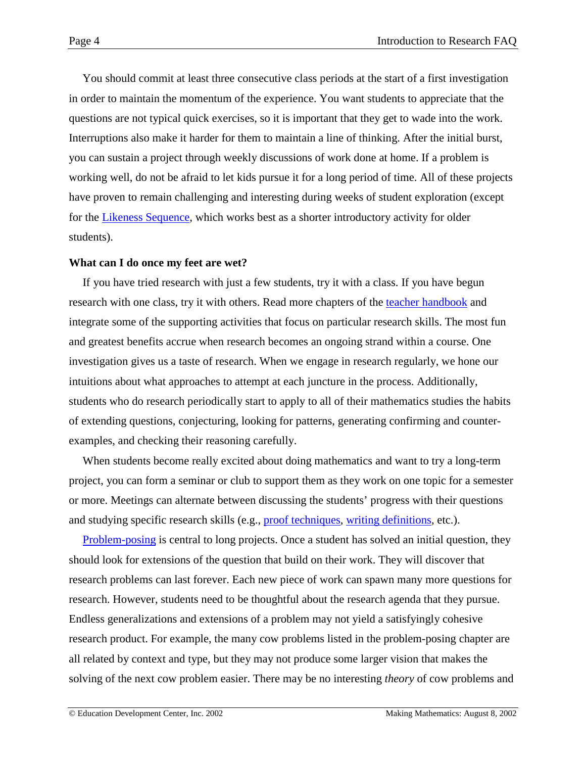<span id="page-3-0"></span>You should commit at least three consecutive class periods at the start of a first investigation in order to maintain the momentum of the experience. You want students to appreciate that the questions are not typical quick exercises, so it is important that they get to wade into the work. Interruptions also make it harder for them to maintain a line of thinking. After the initial burst, you can sustain a project through weekly discussions of work done at home. If a problem is working well, do not be afraid to let kids pursue it for a long period of time. All of these projects have proven to remain challenging and interesting during weeks of student exploration (except for the [Likeness Sequence,](http://www2.edc.org/makingmath/handbook/Teacher/IntroductoryExplorations/IntroductoryExplorations.asp#HilgemeiersLikenessSequence) which works best as a shorter introductory activity for older students).

### **What can I do once my feet are wet?**

If you have tried research with just a few students, try it with a class. If you have begun research with one class, try it with others. Read more chapters of the [teacher handbook](http://www2.edc.org/makingmath/mathproj.asp#rsskil) and integrate some of the supporting activities that focus on particular research skills. The most fun and greatest benefits accrue when research becomes an ongoing strand within a course. One investigation gives us a taste of research. When we engage in research regularly, we hone our intuitions about what approaches to attempt at each juncture in the process. Additionally, students who do research periodically start to apply to all of their mathematics studies the habits of extending questions, conjecturing, looking for patterns, generating confirming and counterexamples, and checking their reasoning carefully.

When students become really excited about doing mathematics and want to try a long-term project, you can form a seminar or club to support them as they work on one topic for a semester or more. Meetings can alternate between discussing the students' progress with their questions and studying specific research skills (e.g., [proof techniques,](http://www2.edc.org/makingmath/handbook/teacher/proof/proof.asp#ProofMethods) [writing definitions,](http://www2.edc.org/makingmath/handbook/teacher/Definitions/Definitions.asp#WritingDefinitions) etc.).

Problem-posing is central to long projects. Once a student has solved an initial question, they should look for extensions of the question that build on their work. They will discover that research problems can last forever. Each new piece of work can spawn many more questions for research. However, students need to be thoughtful about the research agenda that they pursue. Endless generalizations and extensions of a problem may not yield a satisfyingly cohesive research product. For example, the many cow problems listed in the problem-posing chapter are all related by context and type, but they may not produce some larger vision that makes the solving of the next cow problem easier. There may be no interesting *theory* of cow problems and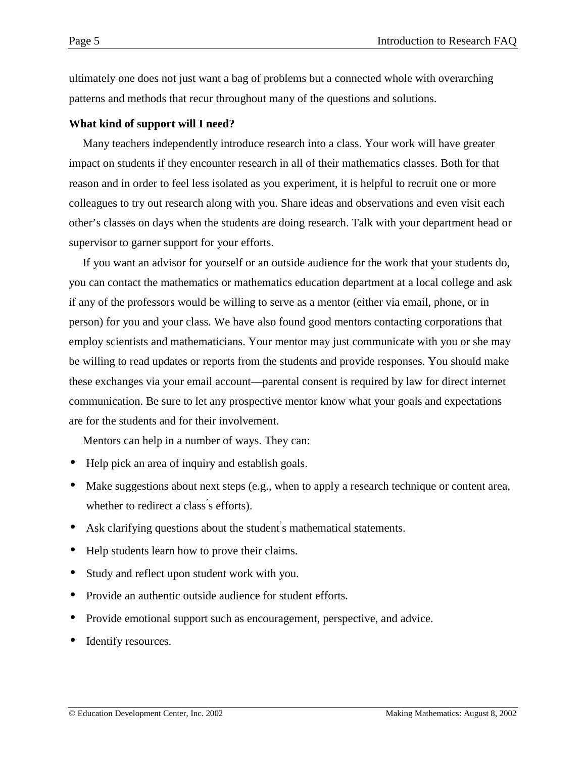<span id="page-4-0"></span>ultimately one does not just want a bag of problems but a connected whole with overarching patterns and methods that recur throughout many of the questions and solutions.

# **What kind of support will I need?**

Many teachers independently introduce research into a class. Your work will have greater impact on students if they encounter research in all of their mathematics classes. Both for that reason and in order to feel less isolated as you experiment, it is helpful to recruit one or more colleagues to try out research along with you. Share ideas and observations and even visit each other's classes on days when the students are doing research. Talk with your department head or supervisor to garner support for your efforts.

If you want an advisor for yourself or an outside audience for the work that your students do, you can contact the mathematics or mathematics education department at a local college and ask if any of the professors would be willing to serve as a mentor (either via email, phone, or in person) for you and your class. We have also found good mentors contacting corporations that employ scientists and mathematicians. Your mentor may just communicate with you or she may be willing to read updates or reports from the students and provide responses. You should make these exchanges via your email account—parental consent is required by law for direct internet communication. Be sure to let any prospective mentor know what your goals and expectations are for the students and for their involvement.

Mentors can help in a number of ways. They can:

- Help pick an area of inquiry and establish goals.
- Make suggestions about next steps (e.g., when to apply a research technique or content area, whether to redirect a class' s efforts).
- Ask clarifying questions about the student' s mathematical statements.
- Help students learn how to prove their claims.
- Study and reflect upon student work with you.
- Provide an authentic outside audience for student efforts.
- Provide emotional support such as encouragement, perspective, and advice.
- Identify resources.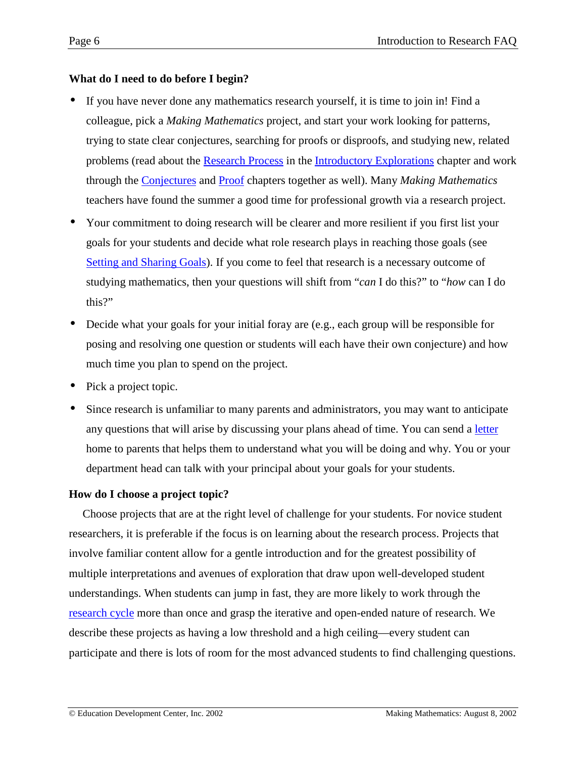# <span id="page-5-0"></span>**What do I need to do before I begin?**

- If you have never done any mathematics research yourself, it is time to join in! Find a colleague, pick a *Making Mathematics* project, and start your work looking for patterns, trying to state clear conjectures, searching for proofs or disproofs, and studying new, related problems (read about the [Research Process](http://www2.edc.org/makingmath/handbook/teacher/IntroductoryExplorations/IntroductoryExplorations.asp#ResearchProcessDiagram) in the [Introductory Explorations](http://www2.edc.org/makingmath/handbook/teacher/IntroductoryExplorations/IntroductoryExplorations.asp) chapter and work through the [Conjectures](http://www2.edc.org/makingmath/handbook/teacher/Conjectures/Conjectures.asp) and [Proof](http://www2.edc.org/makingmath/handbook/teacher/Proof/Proof.asp) chapters together as well). Many *Making Mathematics* teachers have found the summer a good time for professional growth via a research project.
- Your commitment to doing research will be clearer and more resilient if you first list your goals for your students and decide what role research plays in reaching those goals (see [Setting and Sharing Goals\)](http://www2.edc.org/makingmath/handbook/teacher/SettingAndSharingGoals/SettingAndSharingGoals.asp). If you come to feel that research is a necessary outcome of studying mathematics, then your questions will shift from "*can* I do this?" to "*how* can I do this?"
- Decide what your goals for your initial foray are (e.g., each group will be responsible for posing and resolving one question or students will each have their own conjecture) and how much time you plan to spend on the project.
- Pick a project topic.
- Since research is unfamiliar to many parents and administrators, you may want to anticipate any questions that will arise by discussing your plans ahead of time. You can send a [letter](http://www2.edc.org/makingmath/handbook/teacher/Introduction/Introduction.asp#Letter) home to parents that helps them to understand what you will be doing and why. You or your department head can talk with your principal about your goals for your students.

# **How do I choose a project topic?**

Choose projects that are at the right level of challenge for your students. For novice student researchers, it is preferable if the focus is on learning about the research process. Projects that involve familiar content allow for a gentle introduction and for the greatest possibility of multiple interpretations and avenues of exploration that draw upon well-developed student understandings. When students can jump in fast, they are more likely to work through the [research cycle](http://www2.edc.org/makingmath/handbook/teacher/IntroductoryExplorations/IntroductoryExplorations.asp#ResearchProcessDiagram) more than once and grasp the iterative and open-ended nature of research. We describe these projects as having a low threshold and a high ceiling—every student can participate and there is lots of room for the most advanced students to find challenging questions.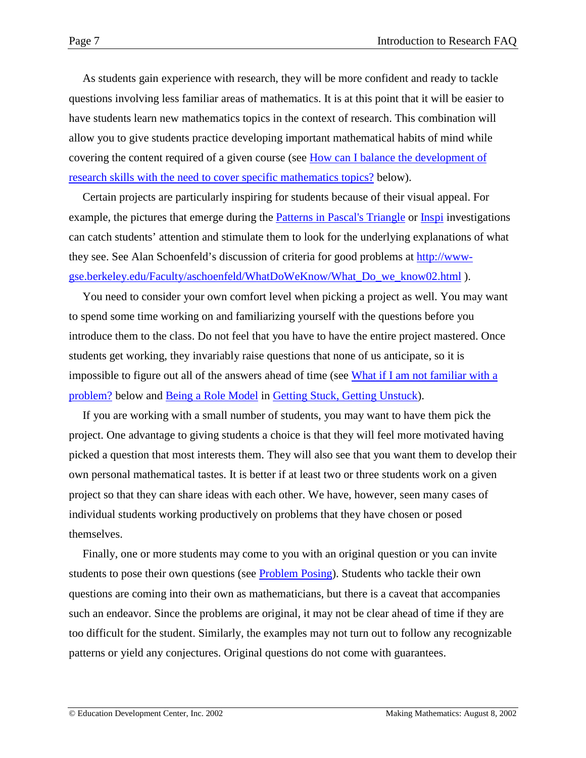<span id="page-6-0"></span>As students gain experience with research, they will be more confident and ready to tackle questions involving less familiar areas of mathematics. It is at this point that it will be easier to have students learn new mathematics topics in the context of research. This combination will allow you to give students practice developing important mathematical habits of mind while covering the content required of a given course (see [How can I balance the development of](#page-12-0) [research skills with the need to cover specific mathematics topics?](#page-12-0) below).

Certain projects are particularly inspiring for students because of their visual appeal. For example, the pictures that emerge during the [Patterns in Pascal's Triangle](http://www2.edc.org/makingmath/mathprojects/pascal/pascal.asp) or [Inspi](http://www2.edc.org/makingmath/mathprojects/inspi/inspi.asp) investigations can catch students' attention and stimulate them to look for the underlying explanations of what they see. See Alan Schoenfeld's discussion of criteria for good problems at [http://www](http://www-gse.berkeley.edu/Faculty/aschoenfeld/WhatDoWeKnow/What_Do_we_know02.html)[gse.berkeley.edu/Faculty/aschoenfeld/WhatDoWeKnow/What\\_Do\\_we\\_know02.html](http://www-gse.berkeley.edu/Faculty/aschoenfeld/WhatDoWeKnow/What_Do_we_know02.html) ).

You need to consider your own comfort level when picking a project as well. You may want to spend some time working on and familiarizing yourself with the questions before you introduce them to the class. Do not feel that you have to have the entire project mastered. Once students get working, they invariably raise questions that none of us anticipate, so it is impossible to figure out all of the answers ahead of time (see [What if I am not familiar with a](#page-7-0) [problem?](#page-7-0) below and [Being a Role Model](http://www2.edc.org/makingmath/handbook/teacher/StuckAndUnstuck/StuckAndUnstuck.asp#BeingARoleModel) in [Getting Stuck, Getting Unstuck\)](http://www2.edc.org/makingmath/handbook/teacher/StuckAndUnstuck/StuckAndUnstuck.asp).

If you are working with a small number of students, you may want to have them pick the project. One advantage to giving students a choice is that they will feel more motivated having picked a question that most interests them. They will also see that you want them to develop their own personal mathematical tastes. It is better if at least two or three students work on a given project so that they can share ideas with each other. We have, however, seen many cases of individual students working productively on problems that they have chosen or posed themselves.

Finally, one or more students may come to you with an original question or you can invite students to pose their own questions (see **Problem Posing**). Students who tackle their own questions are coming into their own as mathematicians, but there is a caveat that accompanies such an endeavor. Since the problems are original, it may not be clear ahead of time if they are too difficult for the student. Similarly, the examples may not turn out to follow any recognizable patterns or yield any conjectures. Original questions do not come with guarantees.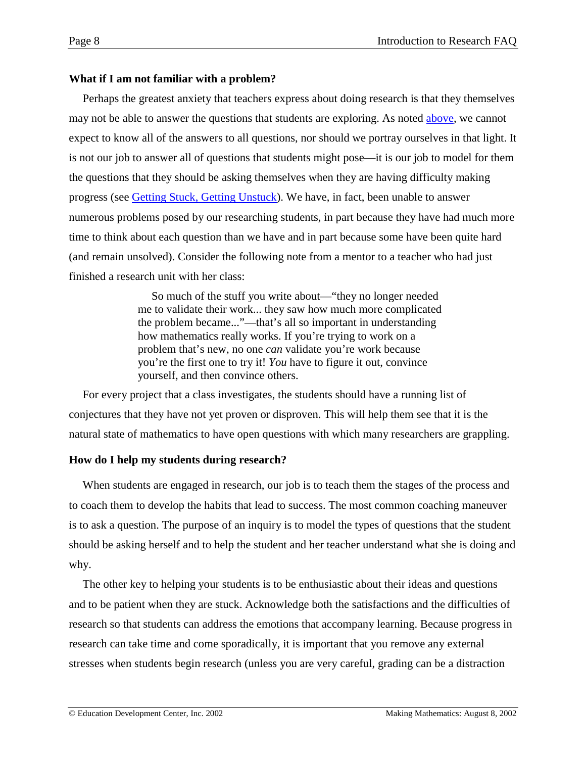# <span id="page-7-0"></span>**What if I am not familiar with a problem?**

Perhaps the greatest anxiety that teachers express about doing research is that they themselves may not be able to answer the questions that students are exploring. As noted [above,](#page-6-0) we cannot expect to know all of the answers to all questions, nor should we portray ourselves in that light. It is not our job to answer all of questions that students might pose—it is our job to model for them the questions that they should be asking themselves when they are having difficulty making progress (see [Getting Stuck, Getting Unstuck\)](http://www2.edc.org/makingmath/handbook/teacher/StuckAndUnstuck/StuckAndUnstuck.asp). We have, in fact, been unable to answer numerous problems posed by our researching students, in part because they have had much more time to think about each question than we have and in part because some have been quite hard (and remain unsolved). Consider the following note from a mentor to a teacher who had just finished a research unit with her class:

> So much of the stuff you write about—"they no longer needed me to validate their work... they saw how much more complicated the problem became..."—that's all so important in understanding how mathematics really works. If you're trying to work on a problem that's new, no one *can* validate you're work because you're the first one to try it! *You* have to figure it out, convince yourself, and then convince others.

For every project that a class investigates, the students should have a running list of conjectures that they have not yet proven or disproven. This will help them see that it is the natural state of mathematics to have open questions with which many researchers are grappling.

# **How do I help my students during research?**

When students are engaged in research, our job is to teach them the stages of the process and to coach them to develop the habits that lead to success. The most common coaching maneuver is to ask a question. The purpose of an inquiry is to model the types of questions that the student should be asking herself and to help the student and her teacher understand what she is doing and why.

The other key to helping your students is to be enthusiastic about their ideas and questions and to be patient when they are stuck. Acknowledge both the satisfactions and the difficulties of research so that students can address the emotions that accompany learning. Because progress in research can take time and come sporadically, it is important that you remove any external stresses when students begin research (unless you are very careful, grading can be a distraction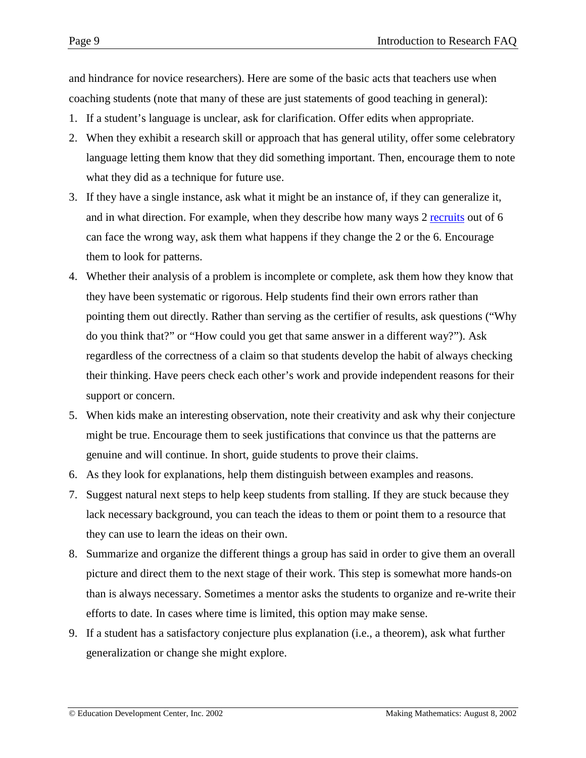and hindrance for novice researchers). Here are some of the basic acts that teachers use when coaching students (note that many of these are just statements of good teaching in general):

- 1. If a student's language is unclear, ask for clarification. Offer edits when appropriate.
- 2. When they exhibit a research skill or approach that has general utility, offer some celebratory language letting them know that they did something important. Then, encourage them to note what they did as a technique for future use.
- 3. If they have a single instance, ask what it might be an instance of, if they can generalize it, and in what direction. For example, when they describe how many ways 2 recruits out of 6 can face the wrong way, ask them what happens if they change the 2 or the 6. Encourage them to look for patterns.
- 4. Whether their analysis of a problem is incomplete or complete, ask them how they know that they have been systematic or rigorous. Help students find their own errors rather than pointing them out directly. Rather than serving as the certifier of results, ask questions ("Why do you think that?" or "How could you get that same answer in a different way?"). Ask regardless of the correctness of a claim so that students develop the habit of always checking their thinking. Have peers check each other's work and provide independent reasons for their support or concern.
- 5. When kids make an interesting observation, note their creativity and ask why their conjecture might be true. Encourage them to seek justifications that convince us that the patterns are genuine and will continue. In short, guide students to prove their claims.
- 6. As they look for explanations, help them distinguish between examples and reasons.
- 7. Suggest natural next steps to help keep students from stalling. If they are stuck because they lack necessary background, you can teach the ideas to them or point them to a resource that they can use to learn the ideas on their own.
- 8. Summarize and organize the different things a group has said in order to give them an overall picture and direct them to the next stage of their work. This step is somewhat more hands-on than is always necessary. Sometimes a mentor asks the students to organize and re-write their efforts to date. In cases where time is limited, this option may make sense.
- 9. If a student has a satisfactory conjecture plus explanation (i.e., a theorem), ask what further generalization or change she might explore.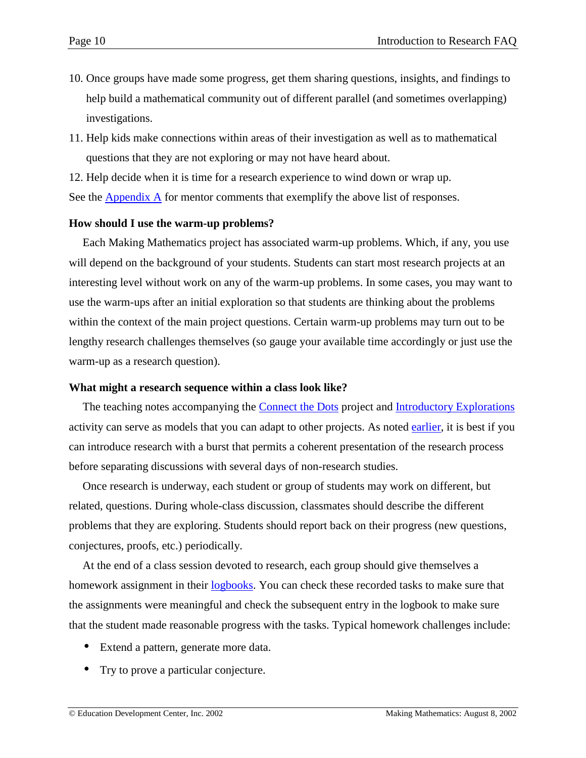- <span id="page-9-0"></span>10. Once groups have made some progress, get them sharing questions, insights, and findings to help build a mathematical community out of different parallel (and sometimes overlapping) investigations.
- 11. Help kids make connections within areas of their investigation as well as to mathematical questions that they are not exploring or may not have heard about.

12. Help decide when it is time for a research experience to wind down or wrap up.

See the [Appendix A](#page-19-0) for mentor comments that exemplify the above list of responses.

### **How should I use the warm-up problems?**

Each Making Mathematics project has associated warm-up problems. Which, if any, you use will depend on the background of your students. Students can start most research projects at an interesting level without work on any of the warm-up problems. In some cases, you may want to use the warm-ups after an initial exploration so that students are thinking about the problems within the context of the main project questions. Certain warm-up problems may turn out to be lengthy research challenges themselves (so gauge your available time accordingly or just use the warm-up as a research question).

### **What might a research sequence within a class look like?**

The teaching notes accompanying the [Connect the Dots](http://www2.edc.org/makingmath/mathprojects/connect/connect.asp) project and [Introductory Explorations](http://www2.edc.org/makingmath/handbook/teacher/IntroductoryExplorations/IntroductoryExplorations.asp) activity can serve as models that you can adapt to other projects. As noted [earlier,](#page-2-0) it is best if you can introduce research with a burst that permits a coherent presentation of the research process before separating discussions with several days of non-research studies.

Once research is underway, each student or group of students may work on different, but related, questions. During whole-class discussion, classmates should describe the different problems that they are exploring. Students should report back on their progress (new questions, conjectures, proofs, etc.) periodically.

At the end of a class session devoted to research, each group should give themselves a homework assignment in their [logbooks.](#page-15-0) You can check these recorded tasks to make sure that the assignments were meaningful and check the subsequent entry in the logbook to make sure that the student made reasonable progress with the tasks. Typical homework challenges include:

- Extend a pattern, generate more data.
- Try to prove a particular conjecture.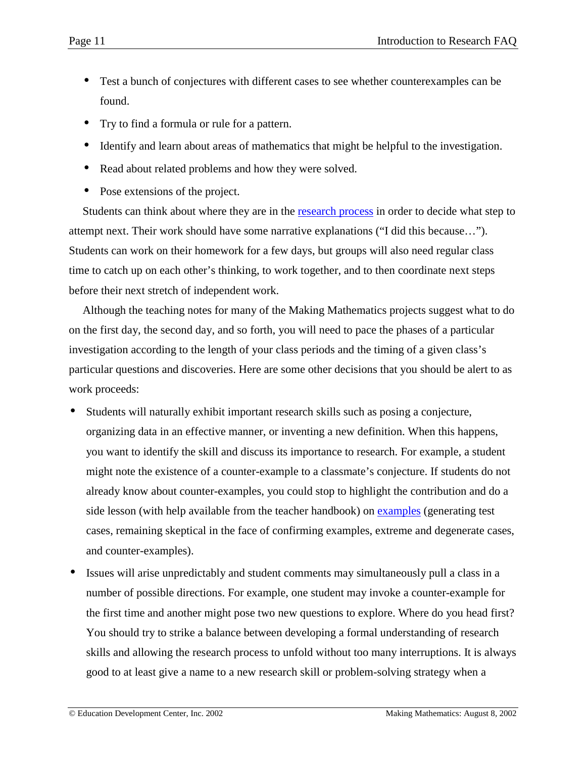- Test a bunch of conjectures with different cases to see whether counterexamples can be found.
- Try to find a formula or rule for a pattern.
- Identify and learn about areas of mathematics that might be helpful to the investigation.
- Read about related problems and how they were solved.
- Pose extensions of the project.

Students can think about where they are in the [research process](http://www2.edc.org/makingmath/handbook/teacher/IntroductoryExplorations/IntroductoryExplorations.asp#ResearchProcessDiagram) in order to decide what step to attempt next. Their work should have some narrative explanations ("I did this because…"). Students can work on their homework for a few days, but groups will also need regular class time to catch up on each other's thinking, to work together, and to then coordinate next steps before their next stretch of independent work.

Although the teaching notes for many of the Making Mathematics projects suggest what to do on the first day, the second day, and so forth, you will need to pace the phases of a particular investigation according to the length of your class periods and the timing of a given class's particular questions and discoveries. Here are some other decisions that you should be alert to as work proceeds:

- Students will naturally exhibit important research skills such as posing a conjecture, organizing data in an effective manner, or inventing a new definition. When this happens, you want to identify the skill and discuss its importance to research. For example, a student might note the existence of a counter-example to a classmate's conjecture. If students do not already know about counter-examples, you could stop to highlight the contribution and do a side lesson (with help available from the teacher handbook) on examples (generating test cases, remaining skeptical in the face of confirming examples, extreme and degenerate cases, and counter-examples).
- Issues will arise unpredictably and student comments may simultaneously pull a class in a number of possible directions. For example, one student may invoke a counter-example for the first time and another might pose two new questions to explore. Where do you head first? You should try to strike a balance between developing a formal understanding of research skills and allowing the research process to unfold without too many interruptions. It is always good to at least give a name to a new research skill or problem-solving strategy when a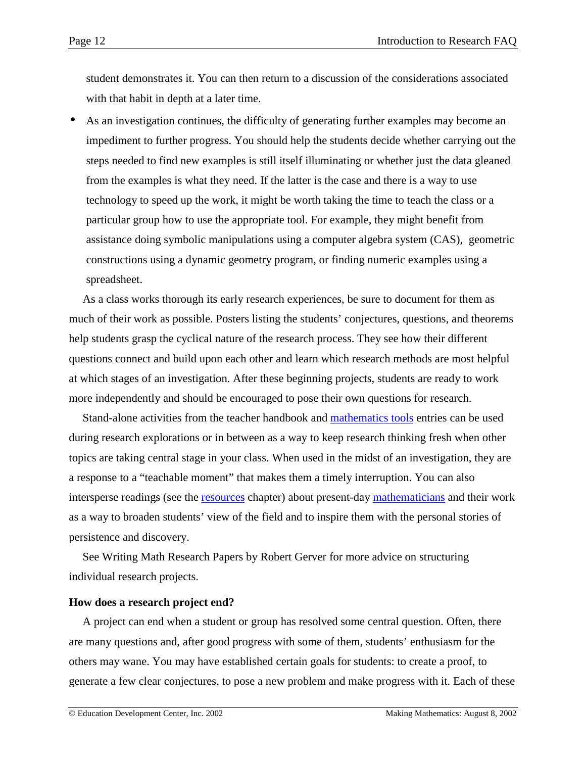<span id="page-11-0"></span>student demonstrates it. You can then return to a discussion of the considerations associated with that habit in depth at a later time.

As an investigation continues, the difficulty of generating further examples may become an impediment to further progress. You should help the students decide whether carrying out the steps needed to find new examples is still itself illuminating or whether just the data gleaned from the examples is what they need. If the latter is the case and there is a way to use technology to speed up the work, it might be worth taking the time to teach the class or a particular group how to use the appropriate tool. For example, they might benefit from assistance doing symbolic manipulations using a computer algebra system (CAS), geometric constructions using a dynamic geometry program, or finding numeric examples using a spreadsheet.

As a class works thorough its early research experiences, be sure to document for them as much of their work as possible. Posters listing the students' conjectures, questions, and theorems help students grasp the cyclical nature of the research process. They see how their different questions connect and build upon each other and learn which research methods are most helpful at which stages of an investigation. After these beginning projects, students are ready to work more independently and should be encouraged to pose their own questions for research.

Stand-alone activities from the teacher handbook and [mathematics tools](http://www2.edc.org/makingmath/mathproj.asp#rstool) entries can be used during research explorations or in between as a way to keep research thinking fresh when other topics are taking central stage in your class. When used in the midst of an investigation, they are a response to a "teachable moment" that makes them a timely interruption. You can also intersperse readings (see the [resources](http://www2.edc.org/makingmath/handbook/teacher/Resources/Resources.asp) chapter) about present-day [mathematicians](http://www2.edc.org/makingmath/handbook/teacher/Resources/Resources.asp#Mathematicians) and their work as a way to broaden students' view of the field and to inspire them with the personal stories of persistence and discovery.

See Writing Math Research Papers by Robert Gerver for more advice on structuring individual research projects.

### **How does a research project end?**

A project can end when a student or group has resolved some central question. Often, there are many questions and, after good progress with some of them, students' enthusiasm for the others may wane. You may have established certain goals for students: to create a proof, to generate a few clear conjectures, to pose a new problem and make progress with it. Each of these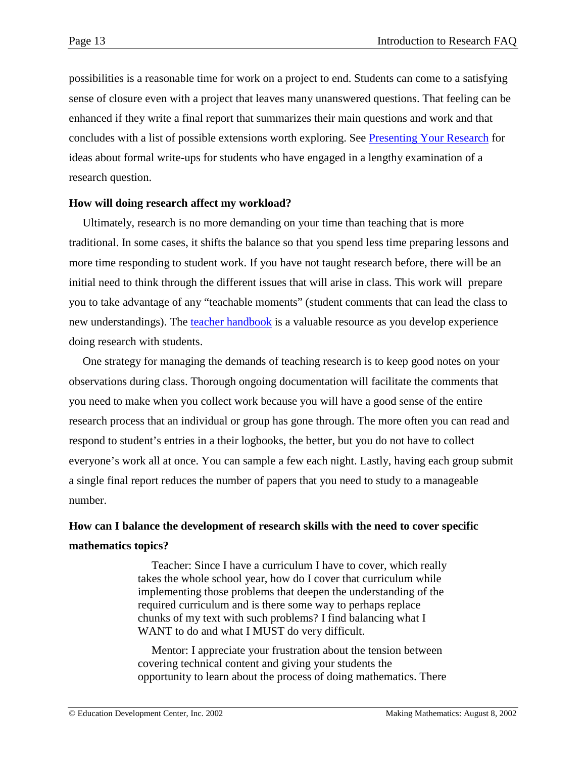<span id="page-12-0"></span>possibilities is a reasonable time for work on a project to end. Students can come to a satisfying sense of closure even with a project that leaves many unanswered questions. That feeling can be enhanced if they write a final report that summarizes their main questions and work and that concludes with a list of possible extensions worth exploring. See [Presenting Your Research](http://www2.edc.org/makingmath/handbook/teacher/PresentingYourResearch/PresentingYourResearch.asp) for ideas about formal write-ups for students who have engaged in a lengthy examination of a research question.

### **How will doing research affect my workload?**

Ultimately, research is no more demanding on your time than teaching that is more traditional. In some cases, it shifts the balance so that you spend less time preparing lessons and more time responding to student work. If you have not taught research before, there will be an initial need to think through the different issues that will arise in class. This work will prepare you to take advantage of any "teachable moments" (student comments that can lead the class to new understandings). The [teacher handbook](http://www2.edc.org/makingmath/mathproj.asp#rsskil) is a valuable resource as you develop experience doing research with students.

One strategy for managing the demands of teaching research is to keep good notes on your observations during class. Thorough ongoing documentation will facilitate the comments that you need to make when you collect work because you will have a good sense of the entire research process that an individual or group has gone through. The more often you can read and respond to student's entries in a their logbooks, the better, but you do not have to collect everyone's work all at once. You can sample a few each night. Lastly, having each group submit a single final report reduces the number of papers that you need to study to a manageable number.

# **How can I balance the development of research skills with the need to cover specific mathematics topics?**

Teacher: Since I have a curriculum I have to cover, which really takes the whole school year, how do I cover that curriculum while implementing those problems that deepen the understanding of the required curriculum and is there some way to perhaps replace chunks of my text with such problems? I find balancing what I WANT to do and what I MUST do very difficult.

Mentor: I appreciate your frustration about the tension between covering technical content and giving your students the opportunity to learn about the process of doing mathematics. There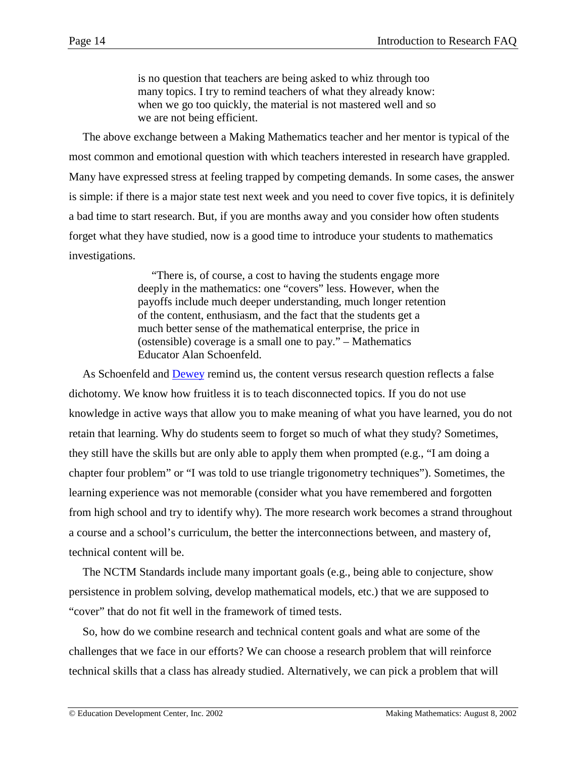is no question that teachers are being asked to whiz through too many topics. I try to remind teachers of what they already know: when we go too quickly, the material is not mastered well and so we are not being efficient.

The above exchange between a Making Mathematics teacher and her mentor is typical of the most common and emotional question with which teachers interested in research have grappled. Many have expressed stress at feeling trapped by competing demands. In some cases, the answer is simple: if there is a major state test next week and you need to cover five topics, it is definitely a bad time to start research. But, if you are months away and you consider how often students forget what they have studied, now is a good time to introduce your students to mathematics investigations.

> "There is, of course, a cost to having the students engage more deeply in the mathematics: one "covers" less. However, when the payoffs include much deeper understanding, much longer retention of the content, enthusiasm, and the fact that the students get a much better sense of the mathematical enterprise, the price in (ostensible) coverage is a small one to pay." – Mathematics Educator Alan Schoenfeld.

As Schoenfeld and [Dewey](#page-1-0) remind us, the content versus research question reflects a false dichotomy. We know how fruitless it is to teach disconnected topics. If you do not use knowledge in active ways that allow you to make meaning of what you have learned, you do not retain that learning. Why do students seem to forget so much of what they study? Sometimes, they still have the skills but are only able to apply them when prompted (e.g., "I am doing a chapter four problem" or "I was told to use triangle trigonometry techniques"). Sometimes, the learning experience was not memorable (consider what you have remembered and forgotten from high school and try to identify why). The more research work becomes a strand throughout a course and a school's curriculum, the better the interconnections between, and mastery of, technical content will be.

The NCTM Standards include many important goals (e.g., being able to conjecture, show persistence in problem solving, develop mathematical models, etc.) that we are supposed to "cover" that do not fit well in the framework of timed tests.

So, how do we combine research and technical content goals and what are some of the challenges that we face in our efforts? We can choose a research problem that will reinforce technical skills that a class has already studied. Alternatively, we can pick a problem that will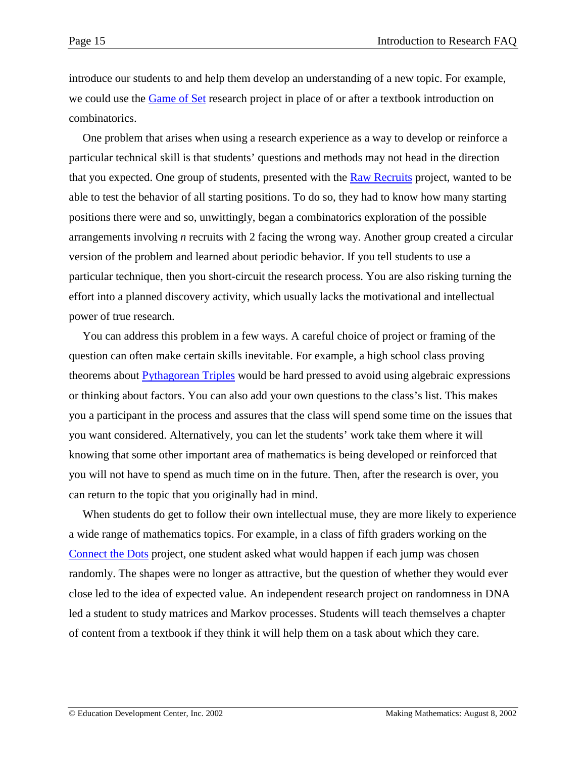introduce our students to and help them develop an understanding of a new topic. For example, we could use the [Game of Set](http://www2.edc.org/makingmath/mathprojects/gameOfSet/set.asp) research project in place of or after a textbook introduction on combinatorics.

One problem that arises when using a research experience as a way to develop or reinforce a particular technical skill is that students' questions and methods may not head in the direction that you expected. One group of students, presented with the **Raw Recruits** project, wanted to be able to test the behavior of all starting positions. To do so, they had to know how many starting positions there were and so, unwittingly, began a combinatorics exploration of the possible arrangements involving *n* recruits with 2 facing the wrong way. Another group created a circular version of the problem and learned about periodic behavior. If you tell students to use a particular technique, then you short-circuit the research process. You are also risking turning the effort into a planned discovery activity, which usually lacks the motivational and intellectual power of true research.

You can address this problem in a few ways. A careful choice of project or framing of the question can often make certain skills inevitable. For example, a high school class proving theorems about [Pythagorean Triples](http://www2.edc.org/makingmath/mathsettings/pythagorean/Links/pythagorean_lnk_1.asp) would be hard pressed to avoid using algebraic expressions or thinking about factors. You can also add your own questions to the class's list. This makes you a participant in the process and assures that the class will spend some time on the issues that you want considered. Alternatively, you can let the students' work take them where it will knowing that some other important area of mathematics is being developed or reinforced that you will not have to spend as much time on in the future. Then, after the research is over, you can return to the topic that you originally had in mind.

When students do get to follow their own intellectual muse, they are more likely to experience a wide range of mathematics topics. For example, in a class of fifth graders working on the [Connect the Dots](http://www2.edc.org/makingmath/handbook/teacher/mathsettings/connect/connect.asp) project, one student asked what would happen if each jump was chosen randomly. The shapes were no longer as attractive, but the question of whether they would ever close led to the idea of expected value. An independent research project on randomness in DNA led a student to study matrices and Markov processes. Students will teach themselves a chapter of content from a textbook if they think it will help them on a task about which they care.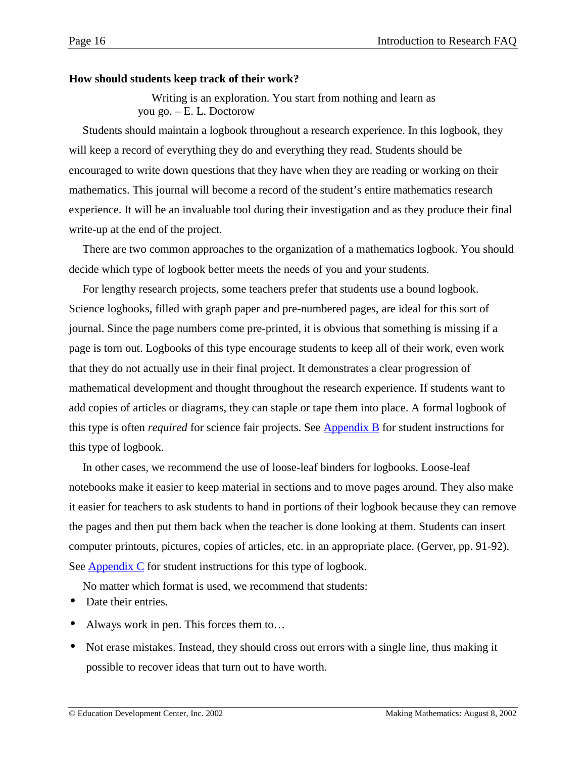### <span id="page-15-0"></span>**How should students keep track of their work?**

Writing is an exploration. You start from nothing and learn as you go. – E. L. Doctorow

Students should maintain a logbook throughout a research experience. In this logbook, they will keep a record of everything they do and everything they read. Students should be encouraged to write down questions that they have when they are reading or working on their mathematics. This journal will become a record of the student's entire mathematics research experience. It will be an invaluable tool during their investigation and as they produce their final write-up at the end of the project.

There are two common approaches to the organization of a mathematics logbook. You should decide which type of logbook better meets the needs of you and your students.

For lengthy research projects, some teachers prefer that students use a bound logbook. Science logbooks, filled with graph paper and pre-numbered pages, are ideal for this sort of journal. Since the page numbers come pre-printed, it is obvious that something is missing if a page is torn out. Logbooks of this type encourage students to keep all of their work, even work that they do not actually use in their final project. It demonstrates a clear progression of mathematical development and thought throughout the research experience. If students want to add copies of articles or diagrams, they can staple or tape them into place. A formal logbook of this type is often *required* for science fair projects. See [Appendix B](#page-25-0) for student instructions for this type of logbook.

In other cases, we recommend the use of loose-leaf binders for logbooks. Loose-leaf notebooks make it easier to keep material in sections and to move pages around. They also make it easier for teachers to ask students to hand in portions of their logbook because they can remove the pages and then put them back when the teacher is done looking at them. Students can insert computer printouts, pictures, copies of articles, etc. in an appropriate place. (Gerver, pp. 91-92). See [Appendix C](#page-26-0) for student instructions for this type of logbook.

No matter which format is used, we recommend that students:

- Date their entries.
- Always work in pen. This forces them to...
- Not erase mistakes. Instead, they should cross out errors with a single line, thus making it possible to recover ideas that turn out to have worth.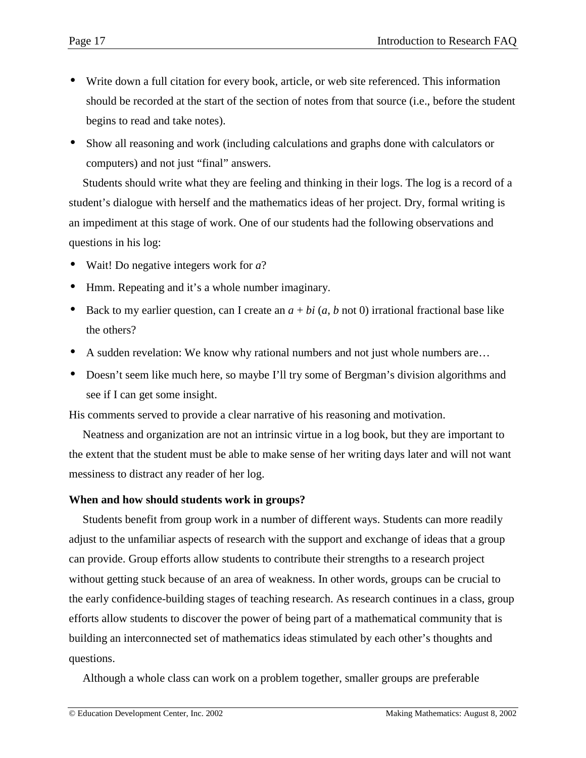- <span id="page-16-0"></span>• Write down a full citation for every book, article, or web site referenced. This information should be recorded at the start of the section of notes from that source (i.e., before the student begins to read and take notes).
- Show all reasoning and work (including calculations and graphs done with calculators or computers) and not just "final" answers.

Students should write what they are feeling and thinking in their logs. The log is a record of a student's dialogue with herself and the mathematics ideas of her project. Dry, formal writing is an impediment at this stage of work. One of our students had the following observations and questions in his log:

- Wait! Do negative integers work for *a*?
- Hmm. Repeating and it's a whole number imaginary.
- Back to my earlier question, can I create an  $a + bi$  ( $a, b$  not 0) irrational fractional base like the others?
- A sudden revelation: We know why rational numbers and not just whole numbers are...
- Doesn't seem like much here, so maybe I'll try some of Bergman's division algorithms and see if I can get some insight.

His comments served to provide a clear narrative of his reasoning and motivation.

Neatness and organization are not an intrinsic virtue in a log book, but they are important to the extent that the student must be able to make sense of her writing days later and will not want messiness to distract any reader of her log.

### **When and how should students work in groups?**

Students benefit from group work in a number of different ways. Students can more readily adjust to the unfamiliar aspects of research with the support and exchange of ideas that a group can provide. Group efforts allow students to contribute their strengths to a research project without getting stuck because of an area of weakness. In other words, groups can be crucial to the early confidence-building stages of teaching research. As research continues in a class, group efforts allow students to discover the power of being part of a mathematical community that is building an interconnected set of mathematics ideas stimulated by each other's thoughts and questions.

Although a whole class can work on a problem together, smaller groups are preferable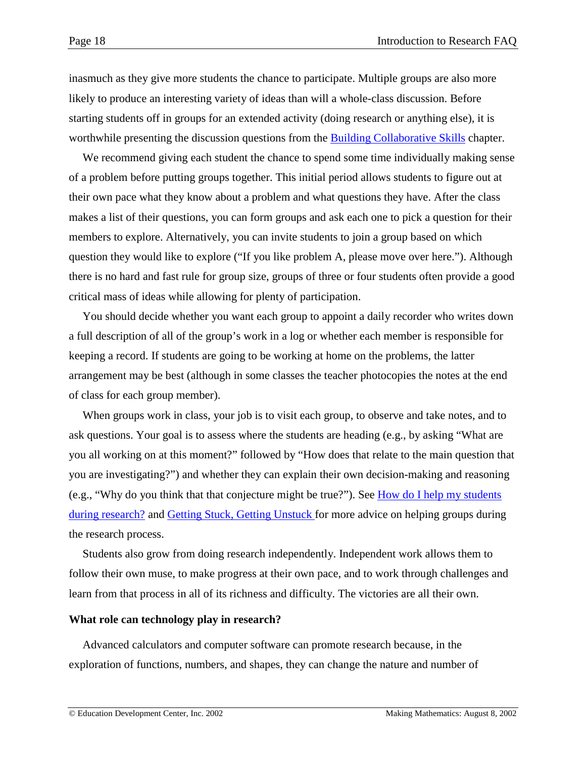<span id="page-17-0"></span>inasmuch as they give more students the chance to participate. Multiple groups are also more likely to produce an interesting variety of ideas than will a whole-class discussion. Before starting students off in groups for an extended activity (doing research or anything else), it is worthwhile presenting the discussion questions from the Building Collaborative Skills chapter.

We recommend giving each student the chance to spend some time individually making sense of a problem before putting groups together. This initial period allows students to figure out at their own pace what they know about a problem and what questions they have. After the class makes a list of their questions, you can form groups and ask each one to pick a question for their members to explore. Alternatively, you can invite students to join a group based on which question they would like to explore ("If you like problem A, please move over here."). Although there is no hard and fast rule for group size, groups of three or four students often provide a good critical mass of ideas while allowing for plenty of participation.

You should decide whether you want each group to appoint a daily recorder who writes down a full description of all of the group's work in a log or whether each member is responsible for keeping a record. If students are going to be working at home on the problems, the latter arrangement may be best (although in some classes the teacher photocopies the notes at the end of class for each group member).

When groups work in class, your job is to visit each group, to observe and take notes, and to ask questions. Your goal is to assess where the students are heading (e.g., by asking "What are you all working on at this moment?" followed by "How does that relate to the main question that you are investigating?") and whether they can explain their own decision-making and reasoning (e.g., "Why do you think that that conjecture might be true?"). See [How do I help my students](#page-7-0) [during research?](#page-7-0) and [Getting Stuck, Getting Unstuck f](http://www2.edc.org/makingmath/handbook/teacher/StuckAndUnstuck/StuckAndUnstuck.asp)or more advice on helping groups during the research process.

Students also grow from doing research independently. Independent work allows them to follow their own muse, to make progress at their own pace, and to work through challenges and learn from that process in all of its richness and difficulty. The victories are all their own.

### **What role can technology play in research?**

Advanced calculators and computer software can promote research because, in the exploration of functions, numbers, and shapes, they can change the nature and number of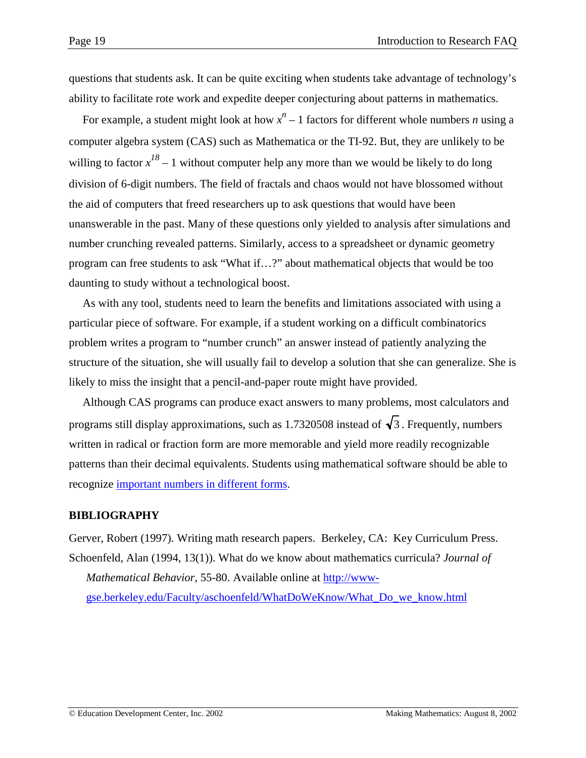questions that students ask. It can be quite exciting when students take advantage of technology's ability to facilitate rote work and expedite deeper conjecturing about patterns in mathematics.

For example, a student might look at how  $x^n - 1$  factors for different whole numbers *n* using a computer algebra system (CAS) such as Mathematica or the TI-92. But, they are unlikely to be willing to factor  $x^{18} - 1$  without computer help any more than we would be likely to do long division of 6-digit numbers. The field of fractals and chaos would not have blossomed without the aid of computers that freed researchers up to ask questions that would have been unanswerable in the past. Many of these questions only yielded to analysis after simulations and number crunching revealed patterns. Similarly, access to a spreadsheet or dynamic geometry program can free students to ask "What if…?" about mathematical objects that would be too daunting to study without a technological boost.

As with any tool, students need to learn the benefits and limitations associated with using a particular piece of software. For example, if a student working on a difficult combinatorics problem writes a program to "number crunch" an answer instead of patiently analyzing the structure of the situation, she will usually fail to develop a solution that she can generalize. She is likely to miss the insight that a pencil-and-paper route might have provided.

Although CAS programs can produce exact answers to many problems, most calculators and programs still display approximations, such as 1.7320508 instead of  $\sqrt{3}$ . Frequently, numbers written in radical or fraction form are more memorable and yield more readily recognizable patterns than their decimal equivalents. Students using mathematical software should be able to recognize [important numbers in different forms.](http://www2.edc.org/makingmath/mathtools/Numbers/CommonNumbers.pdf)

### **BIBLIOGRAPHY**

Gerver, Robert (1997). Writing math research papers. Berkeley, CA: Key Curriculum Press. Schoenfeld, Alan (1994, 13(1)). What do we know about mathematics curricula? *Journal of Mathematical Behavior*, 55-80. Available online at [http://www](http://www-gse.berkeley.edu/Faculty/aschoenfeld/WhatDoWeKnow/What_Do_we_know.html)[gse.berkeley.edu/Faculty/aschoenfeld/WhatDoWeKnow/What\\_Do\\_we\\_know.html](http://www-gse.berkeley.edu/Faculty/aschoenfeld/WhatDoWeKnow/What_Do_we_know.html)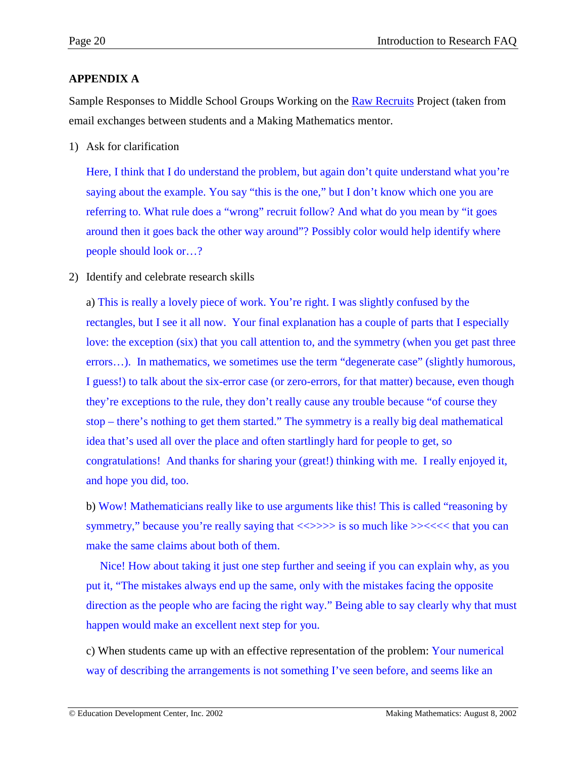# <span id="page-19-0"></span>**APPENDIX A**

Sample Responses to Middle School Groups Working on the Raw Recruits Project (taken from email exchanges between students and a Making Mathematics mentor.

1) Ask for clarification

Here, I think that I do understand the problem, but again don't quite understand what you're saying about the example. You say "this is the one," but I don't know which one you are referring to. What rule does a "wrong" recruit follow? And what do you mean by "it goes around then it goes back the other way around"? Possibly color would help identify where people should look or…?

2) Identify and celebrate research skills

a) This is really a lovely piece of work. You're right. I was slightly confused by the rectangles, but I see it all now. Your final explanation has a couple of parts that I especially love: the exception (six) that you call attention to, and the symmetry (when you get past three errors…). In mathematics, we sometimes use the term "degenerate case" (slightly humorous, I guess!) to talk about the six-error case (or zero-errors, for that matter) because, even though they're exceptions to the rule, they don't really cause any trouble because "of course they stop – there's nothing to get them started." The symmetry is a really big deal mathematical idea that's used all over the place and often startlingly hard for people to get, so congratulations! And thanks for sharing your (great!) thinking with me. I really enjoyed it, and hope you did, too.

b) Wow! Mathematicians really like to use arguments like this! This is called "reasoning by symmetry," because you're really saying that  $\langle \langle \rangle \rangle \rangle$  is so much like  $\rangle \rangle \langle \langle \langle \rangle \rangle$  that you can make the same claims about both of them.

Nice! How about taking it just one step further and seeing if you can explain why, as you put it, "The mistakes always end up the same, only with the mistakes facing the opposite direction as the people who are facing the right way." Being able to say clearly why that must happen would make an excellent next step for you.

c) When students came up with an effective representation of the problem: Your numerical way of describing the arrangements is not something I've seen before, and seems like an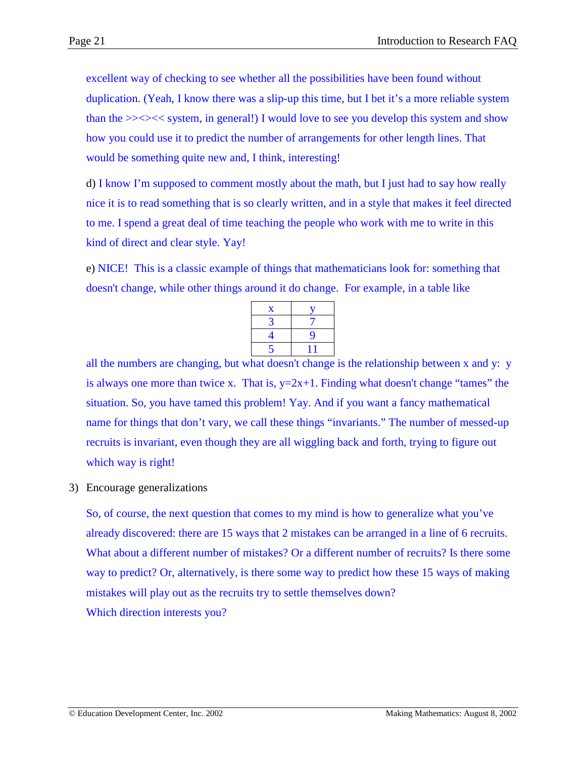excellent way of checking to see whether all the possibilities have been found without duplication. (Yeah, I know there was a slip-up this time, but I bet it's a more reliable system than the  $\geq$   $\lt$  system, in general!) I would love to see you develop this system and show how you could use it to predict the number of arrangements for other length lines. That would be something quite new and, I think, interesting!

d) I know I'm supposed to comment mostly about the math, but I just had to say how really nice it is to read something that is so clearly written, and in a style that makes it feel directed to me. I spend a great deal of time teaching the people who work with me to write in this kind of direct and clear style. Yay!

e) NICE! This is a classic example of things that mathematicians look for: something that doesn't change, while other things around it do change. For example, in a table like

| $\mathbf x$ |   |
|-------------|---|
| 3           |   |
| 4           | 9 |
| 5           |   |
|             |   |

all the numbers are changing, but what doesn't change is the relationship between x and y: y is always one more than twice x. That is,  $y=2x+1$ . Finding what doesn't change "tames" the situation. So, you have tamed this problem! Yay. And if you want a fancy mathematical name for things that don't vary, we call these things "invariants." The number of messed-up recruits is invariant, even though they are all wiggling back and forth, trying to figure out which way is right!

3) Encourage generalizations

So, of course, the next question that comes to my mind is how to generalize what you've already discovered: there are 15 ways that 2 mistakes can be arranged in a line of 6 recruits. What about a different number of mistakes? Or a different number of recruits? Is there some way to predict? Or, alternatively, is there some way to predict how these 15 ways of making mistakes will play out as the recruits try to settle themselves down? Which direction interests you?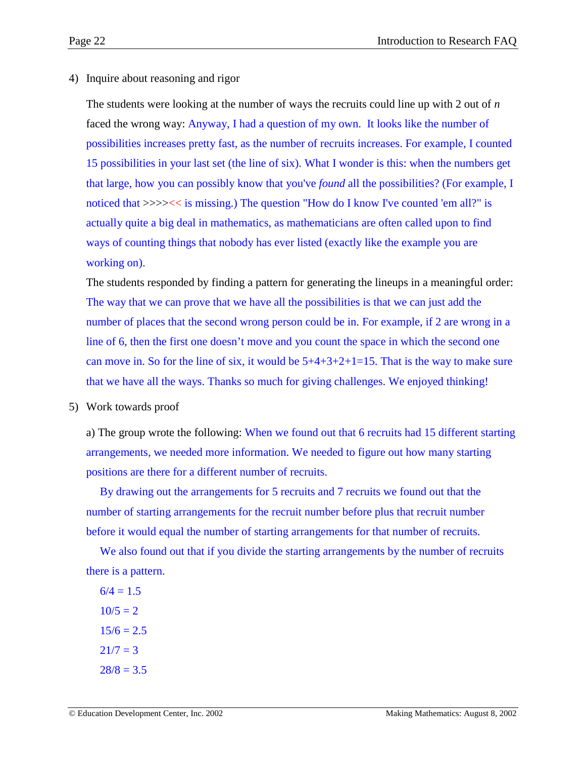4) Inquire about reasoning and rigor

The students were looking at the number of ways the recruits could line up with 2 out of *n* faced the wrong way: Anyway, I had a question of my own. It looks like the number of possibilities increases pretty fast, as the number of recruits increases. For example, I counted 15 possibilities in your last set (the line of six). What I wonder is this: when the numbers get that large, how you can possibly know that you've *found* all the possibilities? (For example, I noticed that >>>><< is missing.) The question "How do I know I've counted 'em all?" is actually quite a big deal in mathematics, as mathematicians are often called upon to find ways of counting things that nobody has ever listed (exactly like the example you are working on).

The students responded by finding a pattern for generating the lineups in a meaningful order: The way that we can prove that we have all the possibilities is that we can just add the number of places that the second wrong person could be in. For example, if 2 are wrong in a line of 6, then the first one doesn't move and you count the space in which the second one can move in. So for the line of six, it would be  $5+4+3+2+1=15$ . That is the way to make sure that we have all the ways. Thanks so much for giving challenges. We enjoyed thinking!

5) Work towards proof

a) The group wrote the following: When we found out that 6 recruits had 15 different starting arrangements, we needed more information. We needed to figure out how many starting positions are there for a different number of recruits.

By drawing out the arrangements for 5 recruits and 7 recruits we found out that the number of starting arrangements for the recruit number before plus that recruit number before it would equal the number of starting arrangements for that number of recruits.

We also found out that if you divide the starting arrangements by the number of recruits there is a pattern.

 $6/4 = 1.5$  $10/5 = 2$  $15/6 = 2.5$  $21/7 = 3$  $28/8 = 3.5$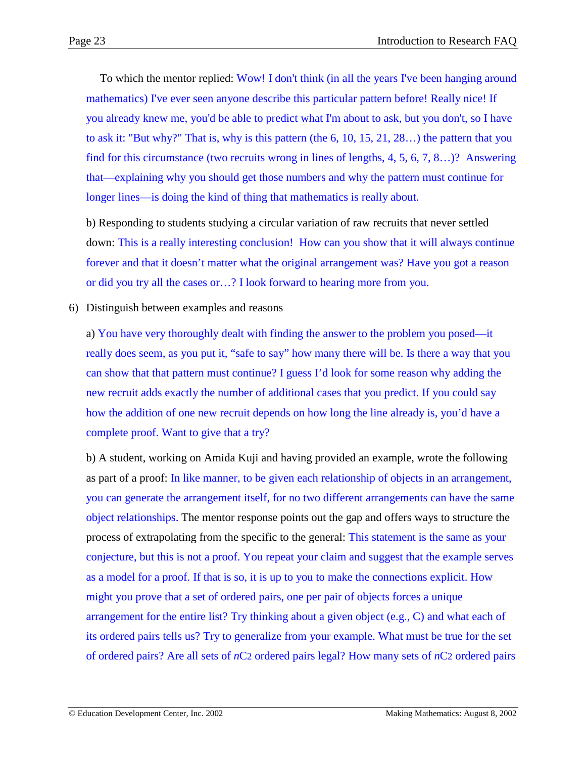To which the mentor replied: Wow! I don't think (in all the years I've been hanging around mathematics) I've ever seen anyone describe this particular pattern before! Really nice! If you already knew me, you'd be able to predict what I'm about to ask, but you don't, so I have to ask it: "But why?" That is, why is this pattern (the  $6, 10, 15, 21, 28...$ ) the pattern that you find for this circumstance (two recruits wrong in lines of lengths, 4, 5, 6, 7, 8…)? Answering that—explaining why you should get those numbers and why the pattern must continue for longer lines—is doing the kind of thing that mathematics is really about.

b) Responding to students studying a circular variation of raw recruits that never settled down: This is a really interesting conclusion! How can you show that it will always continue forever and that it doesn't matter what the original arrangement was? Have you got a reason or did you try all the cases or…? I look forward to hearing more from you.

6) Distinguish between examples and reasons

a) You have very thoroughly dealt with finding the answer to the problem you posed—it really does seem, as you put it, "safe to say" how many there will be. Is there a way that you can show that that pattern must continue? I guess I'd look for some reason why adding the new recruit adds exactly the number of additional cases that you predict. If you could say how the addition of one new recruit depends on how long the line already is, you'd have a complete proof. Want to give that a try?

b) A student, working on Amida Kuji and having provided an example, wrote the following as part of a proof: In like manner, to be given each relationship of objects in an arrangement, you can generate the arrangement itself, for no two different arrangements can have the same object relationships. The mentor response points out the gap and offers ways to structure the process of extrapolating from the specific to the general: This statement is the same as your conjecture, but this is not a proof. You repeat your claim and suggest that the example serves as a model for a proof. If that is so, it is up to you to make the connections explicit. How might you prove that a set of ordered pairs, one per pair of objects forces a unique arrangement for the entire list? Try thinking about a given object (e.g., C) and what each of its ordered pairs tells us? Try to generalize from your example. What must be true for the set of ordered pairs? Are all sets of *n*C2 ordered pairs legal? How many sets of *n*C2 ordered pairs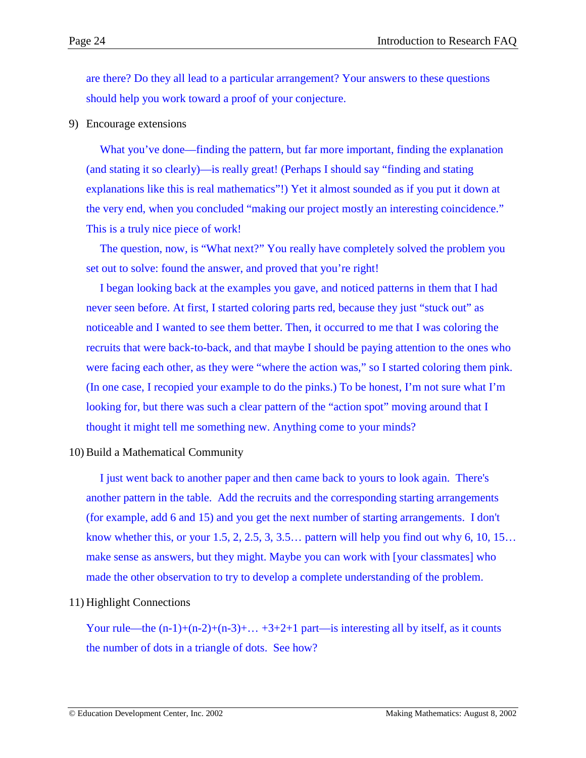are there? Do they all lead to a particular arrangement? Your answers to these questions should help you work toward a proof of your conjecture.

### 9) Encourage extensions

What you've done—finding the pattern, but far more important, finding the explanation (and stating it so clearly)—is really great! (Perhaps I should say "finding and stating explanations like this is real mathematics"!) Yet it almost sounded as if you put it down at the very end, when you concluded "making our project mostly an interesting coincidence." This is a truly nice piece of work!

The question, now, is "What next?" You really have completely solved the problem you set out to solve: found the answer, and proved that you're right!

I began looking back at the examples you gave, and noticed patterns in them that I had never seen before. At first, I started coloring parts red, because they just "stuck out" as noticeable and I wanted to see them better. Then, it occurred to me that I was coloring the recruits that were back-to-back, and that maybe I should be paying attention to the ones who were facing each other, as they were "where the action was," so I started coloring them pink. (In one case, I recopied your example to do the pinks.) To be honest, I'm not sure what I'm looking for, but there was such a clear pattern of the "action spot" moving around that I thought it might tell me something new. Anything come to your minds?

### 10) Build a Mathematical Community

I just went back to another paper and then came back to yours to look again. There's another pattern in the table. Add the recruits and the corresponding starting arrangements (for example, add 6 and 15) and you get the next number of starting arrangements. I don't know whether this, or your  $1.5, 2, 2.5, 3, 3.5...$  pattern will help you find out why 6, 10, 15... make sense as answers, but they might. Maybe you can work with [your classmates] who made the other observation to try to develop a complete understanding of the problem.

### 11) Highlight Connections

Your rule—the  $(n-1)+(n-2)+(n-3)+...+3+2+1$  part—is interesting all by itself, as it counts the number of dots in a triangle of dots. See how?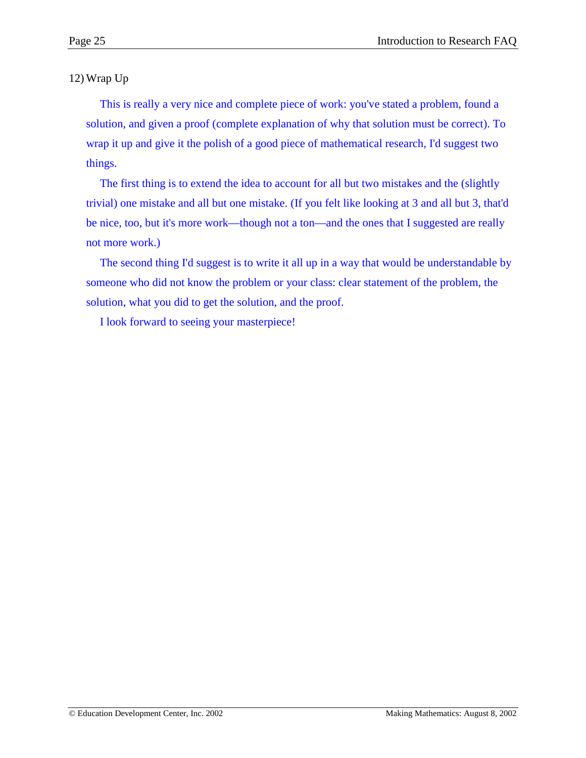12) Wrap Up

This is really a very nice and complete piece of work: you've stated a problem, found a solution, and given a proof (complete explanation of why that solution must be correct). To wrap it up and give it the polish of a good piece of mathematical research, I'd suggest two things.

The first thing is to extend the idea to account for all but two mistakes and the (slightly trivial) one mistake and all but one mistake. (If you felt like looking at 3 and all but 3, that'd be nice, too, but it's more work—though not a ton—and the ones that I suggested are really not more work.)

The second thing I'd suggest is to write it all up in a way that would be understandable by someone who did not know the problem or your class: clear statement of the problem, the solution, what you did to get the solution, and the proof.

I look forward to seeing your masterpiece!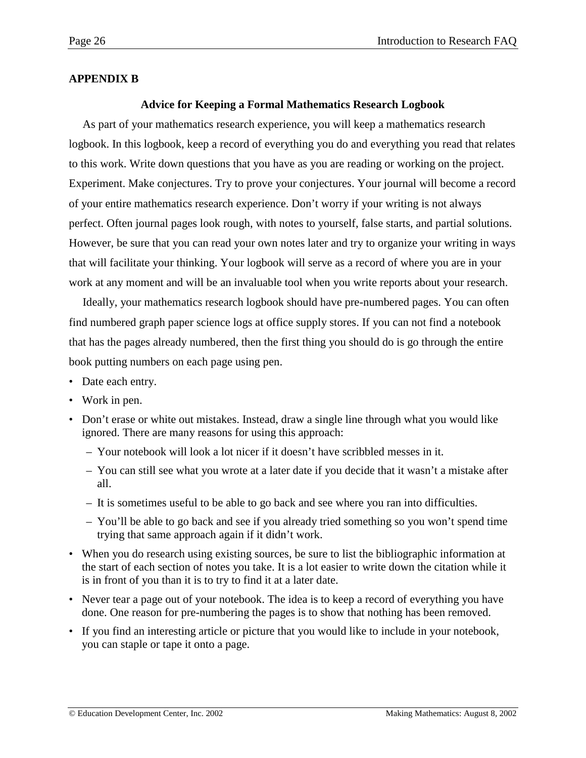# <span id="page-25-0"></span>**APPENDIX B**

### **Advice for Keeping a Formal Mathematics Research Logbook**

As part of your mathematics research experience, you will keep a mathematics research logbook. In this logbook, keep a record of everything you do and everything you read that relates to this work. Write down questions that you have as you are reading or working on the project. Experiment. Make conjectures. Try to prove your conjectures. Your journal will become a record of your entire mathematics research experience. Don't worry if your writing is not always perfect. Often journal pages look rough, with notes to yourself, false starts, and partial solutions. However, be sure that you can read your own notes later and try to organize your writing in ways that will facilitate your thinking. Your logbook will serve as a record of where you are in your work at any moment and will be an invaluable tool when you write reports about your research.

Ideally, your mathematics research logbook should have pre-numbered pages. You can often find numbered graph paper science logs at office supply stores. If you can not find a notebook that has the pages already numbered, then the first thing you should do is go through the entire book putting numbers on each page using pen.

- Date each entry.
- Work in pen.
- Don't erase or white out mistakes. Instead, draw a single line through what you would like ignored. There are many reasons for using this approach:
	- Your notebook will look a lot nicer if it doesn't have scribbled messes in it.
	- You can still see what you wrote at a later date if you decide that it wasn't a mistake after all.
	- It is sometimes useful to be able to go back and see where you ran into difficulties.
	- You'll be able to go back and see if you already tried something so you won't spend time trying that same approach again if it didn't work.
- When you do research using existing sources, be sure to list the bibliographic information at the start of each section of notes you take. It is a lot easier to write down the citation while it is in front of you than it is to try to find it at a later date.
- Never tear a page out of your notebook. The idea is to keep a record of everything you have done. One reason for pre-numbering the pages is to show that nothing has been removed.
- If you find an interesting article or picture that you would like to include in your notebook, you can staple or tape it onto a page.